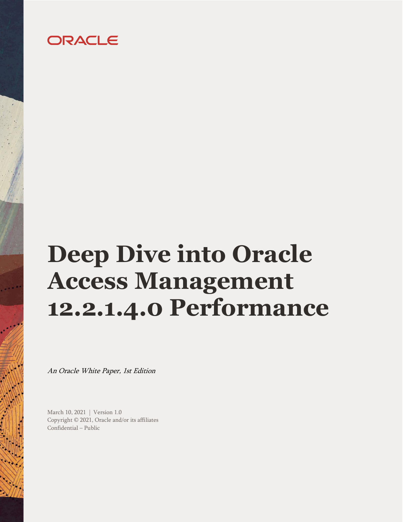## ORACLE

# <span id="page-0-0"></span>**Deep Dive into Oracle Access Management 12.2.1.4.0 Performance**

An Oracle White Paper, 1st Edition

<span id="page-0-3"></span><span id="page-0-2"></span><span id="page-0-1"></span>March 10, 2021 | Version 1.0 Copyright © 2021, Oracle and/or its affiliates Confidential – Public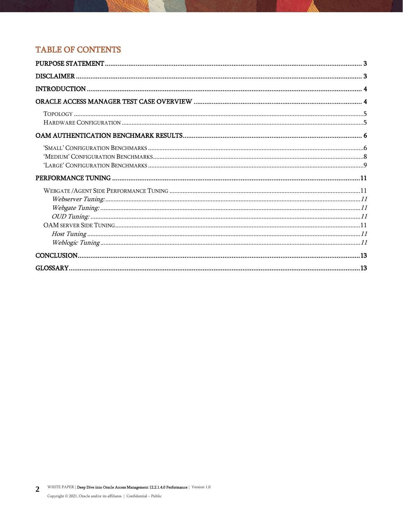## **TABLE OF CONTENTS**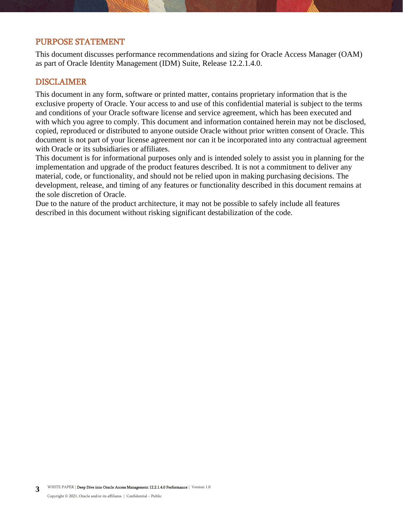## <span id="page-2-0"></span>PURPOSE STATEMENT

This document discusses performance recommendations and sizing for Oracle Access Manager (OAM) as part of Oracle Identity Management (IDM) Suite, Release 12.2.1.4.0.

## <span id="page-2-1"></span>DISCLAIMER

This document in any form, software or printed matter, contains proprietary information that is the exclusive property of Oracle. Your access to and use of this confidential material is subject to the terms and conditions of your Oracle software license and service agreement, which has been executed and with which you agree to comply. This document and information contained herein may not be disclosed, copied, reproduced or distributed to anyone outside Oracle without prior written consent of Oracle. This document is not part of your license agreement nor can it be incorporated into any contractual agreement with Oracle or its subsidiaries or affiliates.

This document is for informational purposes only and is intended solely to assist you in planning for the implementation and upgrade of the product features described. It is not a commitment to deliver any material, code, or functionality, and should not be relied upon in making purchasing decisions. The development, release, and timing of any features or functionality described in this document remains at the sole discretion of Oracle.

Due to the nature of the product architecture, it may not be possible to safely include all features described in this document without risking significant destabilization of the code.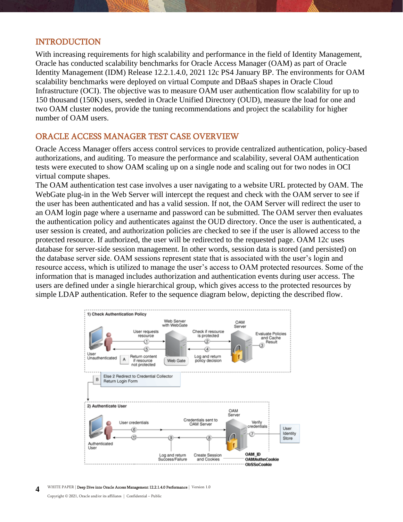## <span id="page-3-0"></span>INTRODUCTION

With increasing requirements for high scalability and performance in the field of Identity Management, Oracle has conducted scalability benchmarks for Oracle Access Manager (OAM) as part of Oracle Identity Management (IDM) Release 12.2.1.4.0, 2021 12c PS4 January BP. The environments for OAM scalability benchmarks were deployed on virtual Compute and DBaaS shapes in Oracle Cloud Infrastructure (OCI). The objective was to measure OAM user authentication flow scalability for up to 150 thousand (150K) users, seeded in Oracle Unified Directory (OUD), measure the load for one and two OAM cluster nodes, provide the tuning recommendations and project the scalability for higher number of OAM users.

## <span id="page-3-1"></span>ORACLE ACCESS MANAGER TEST CASE OVERVIEW

Oracle Access Manager offers access control services to provide centralized authentication, policy-based authorizations, and auditing. To measure the performance and scalability, several OAM authentication tests were executed to show OAM scaling up on a single node and scaling out for two nodes in OCI virtual compute shapes.

The OAM authentication test case involves a user navigating to a website URL protected by OAM. The WebGate plug-in in the Web Server will intercept the request and check with the OAM server to see if the user has been authenticated and has a valid session. If not, the OAM Server will redirect the user to an OAM login page where a username and password can be submitted. The OAM server then evaluates the authentication policy and authenticates against the OUD directory. Once the user is authenticated, a user session is created, and authorization policies are checked to see if the user is allowed access to the protected resource. If authorized, the user will be redirected to the requested page. OAM 12c uses database for server-side session management. In other words, session data is stored (and persisted) on the database server side. OAM sessions represent state that is associated with the user's login and resource access, which is utilized to manage the user's access to OAM protected resources. Some of the information that is managed includes authorization and authentication events during user access. The users are defined under a single hierarchical group, which gives access to the protected resources by simple LDAP authentication. Refer to the sequence diagram below, depicting the described flow.



**4** WHITE PAPER [| Deep Dive into Oracle Access Management 12.2.1.4.0 Performance](#page-0-0) | [Version 1.0](#page-0-1)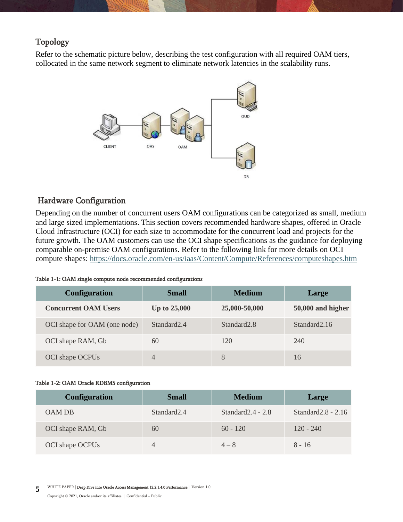## <span id="page-4-0"></span>Topology

Refer to the schematic picture below, describing the test configuration with all required OAM tiers, collocated in the same network segment to eliminate network latencies in the scalability runs.



## <span id="page-4-1"></span>Hardware Configuration

Depending on the number of concurrent users OAM configurations can be categorized as small, medium and large sized implementations. This section covers recommended hardware shapes, offered in Oracle Cloud Infrastructure (OCI) for each size to accommodate for the concurrent load and projects for the future growth. The OAM customers can use the OCI shape specifications as the guidance for deploying comparable on-premise OAM configurations. Refer to the following link for more details on OCI compute shapes: <https://docs.oracle.com/en-us/iaas/Content/Compute/References/computeshapes.htm>

#### Table 1-1: OAM single compute node recommended configurations

| <b>Configuration</b>         | <b>Small</b>            | <b>Medium</b>           | Large             |
|------------------------------|-------------------------|-------------------------|-------------------|
| <b>Concurrent OAM Users</b>  | <b>Up to 25,000</b>     | 25,000-50,000           | 50,000 and higher |
| OCI shape for OAM (one node) | Standard <sub>2.4</sub> | Standard <sub>2.8</sub> | Standard 2.16     |
| OCI shape RAM, Gb            | 60                      | 120                     | 240               |
| OCI shape OCPUs              | $\overline{4}$          | 8                       | 16                |

#### Table 1-2: OAM Oracle RDBMS configuration

| <b>Configuration</b> | <b>Small</b>            | <b>Medium</b>        | Large                 |
|----------------------|-------------------------|----------------------|-----------------------|
| OAM DB               | Standard <sub>2.4</sub> | Standard $2.4 - 2.8$ | Standard $2.8 - 2.16$ |
| OCI shape RAM, Gb    | 60                      | $60 - 120$           | $120 - 240$           |
| OCI shape OCPUs      | 4                       | $4 - 8$              | $8 - 16$              |

**5** WHITE PAPER [| Deep Dive into Oracle Access Management 12.2.1.4.0 Performance](#page-0-0) | [Version 1.0](#page-0-1)

Copyright © [2021, Oracle and/or its affiliates](#page-0-2) | [Confidential](#page-0-3) – Public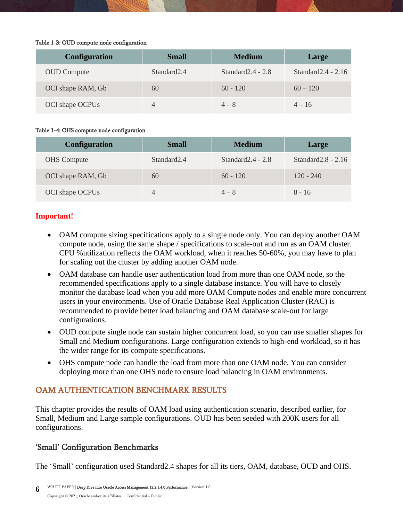#### Table 1-3: OUD compute node configuration

| <b>Configuration</b> | <b>Small</b>            | <b>Medium</b>        | Large                 |
|----------------------|-------------------------|----------------------|-----------------------|
| <b>OUD</b> Compute   | Standard <sub>2.4</sub> | Standard $2.4 - 2.8$ | Standard $2.4 - 2.16$ |
| OCI shape RAM, Gb    | 60                      | $60 - 120$           | $60 - 120$            |
| OCI shape OCPUs      | 4                       | $4 - 8$              | $4 - 16$              |

#### Table 1-4: OHS compute node configuration

| <b>Configuration</b> | <b>Small</b>            | <b>Medium</b>        | Large                 |
|----------------------|-------------------------|----------------------|-----------------------|
| <b>OHS</b> Compute   | Standard <sub>2.4</sub> | Standard $2.4 - 2.8$ | Standard $2.8 - 2.16$ |
| OCI shape RAM, Gb    | 60                      | $60 - 120$           | $120 - 240$           |
| OCI shape OCPUs      |                         | $4 - 8$              | $8 - 16$              |

## **Important!**

- OAM compute sizing specifications apply to a single node only. You can deploy another OAM compute node, using the same shape / specifications to scale-out and run as an OAM cluster. CPU %utilization reflects the OAM workload, when it reaches 50-60%, you may have to plan for scaling out the cluster by adding another OAM node.
- OAM database can handle user authentication load from more than one OAM node, so the recommended specifications apply to a single database instance. You will have to closely monitor the database load when you add more OAM Compute nodes and enable more concurrent users in your environments. Use of Oracle Database Real Application Cluster (RAC) is recommended to provide better load balancing and OAM database scale-out for large configurations.
- OUD compute single node can sustain higher concurrent load, so you can use smaller shapes for Small and Medium configurations. Large configuration extends to high-end workload, so it has the wider range for its compute specifications.
- OHS compute node can handle the load from more than one OAM node. You can consider deploying more than one OHS node to ensure load balancing in OAM environments.

## <span id="page-5-0"></span>OAM AUTHENTICATION BENCHMARK RESULTS

This chapter provides the results of OAM load using authentication scenario, described earlier, for Small, Medium and Large sample configurations. OUD has been seeded with 200K users for all configurations.

## <span id="page-5-1"></span>'Small' Configuration Benchmarks

The 'Small' configuration used Standard2.4 shapes for all its tiers, OAM, database, OUD and OHS.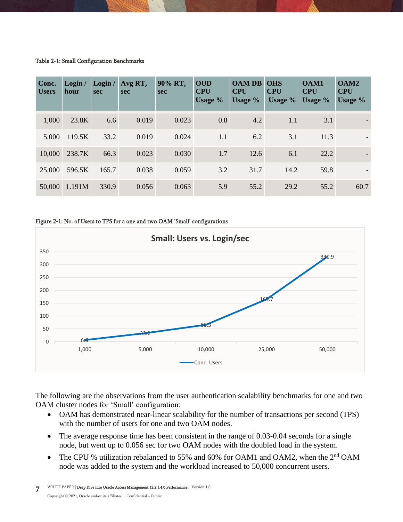#### Table 2-1: Small Configuration Benchmarks

| Conc.<br><b>Users</b> | Login /<br>hour | Login /<br><b>sec</b> | Avg RT,<br><b>sec</b> | 90% RT,<br><b>sec</b> | <b>OUD</b><br><b>CPU</b><br>Usage % | <b>OAM DB</b><br><b>CPU</b><br>Usage $\%$ | <b>OHS</b><br><b>CPU</b><br>Usage $\%$ | <b>OAM1</b><br><b>CPU</b><br>Usage % | OAM <sub>2</sub><br><b>CPU</b><br>Usage % |
|-----------------------|-----------------|-----------------------|-----------------------|-----------------------|-------------------------------------|-------------------------------------------|----------------------------------------|--------------------------------------|-------------------------------------------|
| 1,000                 | 23.8K           | 6.6                   | 0.019                 | 0.023                 | 0.8                                 | 4.2                                       | 1.1                                    | 3.1                                  |                                           |
| 5,000                 | 119.5K          | 33.2                  | 0.019                 | 0.024                 | 1.1                                 | 6.2                                       | 3.1                                    | 11.3                                 |                                           |
| 10,000                | 238.7K          | 66.3                  | 0.023                 | 0.030                 | 1.7                                 | 12.6                                      | 6.1                                    | 22.2                                 |                                           |
| 25,000                | 596.5K          | 165.7                 | 0.038                 | 0.059                 | 3.2                                 | 31.7                                      | 14.2                                   | 59.8                                 |                                           |
| 50,000                | 1.191M          | 330.9                 | 0.056                 | 0.063                 | 5.9                                 | 55.2                                      | 29.2                                   | 55.2                                 | 60.7                                      |

#### Figure 2-1: No. of Users to TPS for a one and two OAM 'Small' configurations



The following are the observations from the user authentication scalability benchmarks for one and two OAM cluster nodes for 'Small' configuration:

- OAM has demonstrated near-linear scalability for the number of transactions per second (TPS) with the number of users for one and two OAM nodes.
- The average response time has been consistent in the range of 0.03-0.04 seconds for a single node, but went up to 0.056 sec for two OAM nodes with the doubled load in the system.
- The CPU % utilization rebalanced to 55% and 60% for OAM1 and OAM2, when the 2<sup>nd</sup> OAM node was added to the system and the workload increased to 50,000 concurrent users.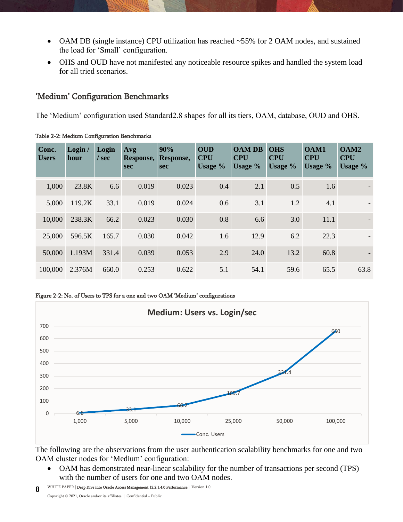- OAM DB (single instance) CPU utilization has reached ~55% for 2 OAM nodes, and sustained the load for 'Small' configuration.
- OHS and OUD have not manifested any noticeable resource spikes and handled the system load for all tried scenarios.

## <span id="page-7-0"></span>'Medium' Configuration Benchmarks

The 'Medium' configuration used Standard2.8 shapes for all its tiers, OAM, database, OUD and OHS.

| Conc.<br><b>Users</b> | Login /<br>hour | Login<br>$/$ sec | Avg<br>Response,<br><b>sec</b> | 90%<br>Response,<br><b>sec</b> | <b>OUD</b><br><b>CPU</b><br>Usage % | <b>OAM DB</b><br><b>CPU</b><br>Usage $\%$ | <b>OHS</b><br><b>CPU</b><br>Usage % | <b>OAM1</b><br><b>CPU</b><br>Usage $\%$ | OAM <sub>2</sub><br><b>CPU</b><br>Usage % |
|-----------------------|-----------------|------------------|--------------------------------|--------------------------------|-------------------------------------|-------------------------------------------|-------------------------------------|-----------------------------------------|-------------------------------------------|
| 1,000                 | 23.8K           | 6.6              | 0.019                          | 0.023                          | 0.4                                 | 2.1                                       | 0.5                                 | 1.6                                     |                                           |
| 5,000                 | 119.2K          | 33.1             | 0.019                          | 0.024                          | 0.6                                 | 3.1                                       | 1.2                                 | 4.1                                     |                                           |
| 10,000                | 238.3K          | 66.2             | 0.023                          | 0.030                          | 0.8                                 | 6.6                                       | 3.0                                 | 11.1                                    |                                           |
| 25,000                | 596.5K          | 165.7            | 0.030                          | 0.042                          | 1.6                                 | 12.9                                      | 6.2                                 | 22.3                                    |                                           |
| 50,000                | 1.193M          | 331.4            | 0.039                          | 0.053                          | 2.9                                 | 24.0                                      | 13.2                                | 60.8                                    |                                           |
| 100,000               | 2.376M          | 660.0            | 0.253                          | 0.622                          | 5.1                                 | 54.1                                      | 59.6                                | 65.5                                    | 63.8                                      |

Table 2-2: Medium Configuration Benchmarks





The following are the observations from the user authentication scalability benchmarks for one and two OAM cluster nodes for 'Medium' configuration:

• OAM has demonstrated near-linear scalability for the number of transactions per second (TPS) with the number of users for one and two OAM nodes.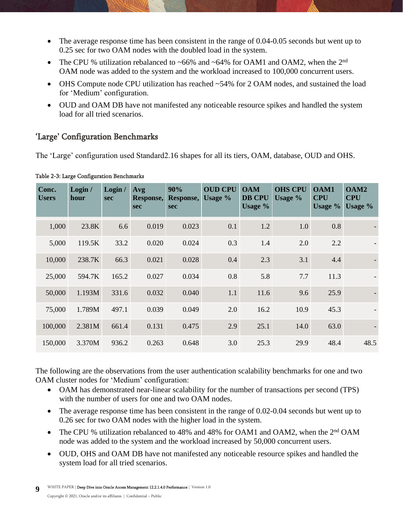- The average response time has been consistent in the range of 0.04-0.05 seconds but went up to 0.25 sec for two OAM nodes with the doubled load in the system.
- The CPU % utilization rebalanced to ~66% and ~64% for OAM1 and OAM2, when the  $2<sup>nd</sup>$ OAM node was added to the system and the workload increased to 100,000 concurrent users.
- OHS Compute node CPU utilization has reached ~54% for 2 OAM nodes, and sustained the load for 'Medium' configuration.
- OUD and OAM DB have not manifested any noticeable resource spikes and handled the system load for all tried scenarios.

## <span id="page-8-0"></span>'Large' Configuration Benchmarks

The 'Large' configuration used Standard2.16 shapes for all its tiers, OAM, database, OUD and OHS.

| Conc.<br><b>Users</b> | Login /<br>hour | Login /<br><b>sec</b> | Avg<br>Response,<br><b>sec</b> | 90%<br>Response,<br><b>sec</b> | <b>OUD CPU</b><br>Usage % | <b>OAM</b><br><b>DB CPU</b><br>Usage $\%$ | <b>OHS CPU</b><br>Usage % | <b>OAM1</b><br><b>CPU</b><br>Usage $%$ | OAM <sub>2</sub><br><b>CPU</b><br>Usage % |
|-----------------------|-----------------|-----------------------|--------------------------------|--------------------------------|---------------------------|-------------------------------------------|---------------------------|----------------------------------------|-------------------------------------------|
| 1,000                 | 23.8K           | 6.6                   | 0.019                          | 0.023                          | 0.1                       | 1.2                                       | 1.0                       | 0.8                                    |                                           |
| 5,000                 | 119.5K          | 33.2                  | 0.020                          | 0.024                          | 0.3                       | 1.4                                       | 2.0                       | 2.2                                    |                                           |
| 10,000                | 238.7K          | 66.3                  | 0.021                          | 0.028                          | 0.4                       | 2.3                                       | 3.1                       | 4.4                                    |                                           |
| 25,000                | 594.7K          | 165.2                 | 0.027                          | 0.034                          | 0.8                       | 5.8                                       | 7.7                       | 11.3                                   |                                           |
| 50,000                | 1.193M          | 331.6                 | 0.032                          | 0.040                          | 1.1                       | 11.6                                      | 9.6                       | 25.9                                   |                                           |
| 75,000                | 1.789M          | 497.1                 | 0.039                          | 0.049                          | 2.0                       | 16.2                                      | 10.9                      | 45.3                                   |                                           |
| 100,000               | 2.381M          | 661.4                 | 0.131                          | 0.475                          | 2.9                       | 25.1                                      | 14.0                      | 63.0                                   |                                           |
| 150,000               | 3.370M          | 936.2                 | 0.263                          | 0.648                          | 3.0                       | 25.3                                      | 29.9                      | 48.4                                   | 48.5                                      |

The following are the observations from the user authentication scalability benchmarks for one and two OAM cluster nodes for 'Medium' configuration:

- OAM has demonstrated near-linear scalability for the number of transactions per second (TPS) with the number of users for one and two OAM nodes.
- The average response time has been consistent in the range of 0.02-0.04 seconds but went up to 0.26 sec for two OAM nodes with the higher load in the system.
- The CPU % utilization rebalanced to 48% and 48% for OAM1 and OAM2, when the 2<sup>nd</sup> OAM node was added to the system and the workload increased by 50,000 concurrent users.
- OUD, OHS and OAM DB have not manifested any noticeable resource spikes and handled the system load for all tried scenarios.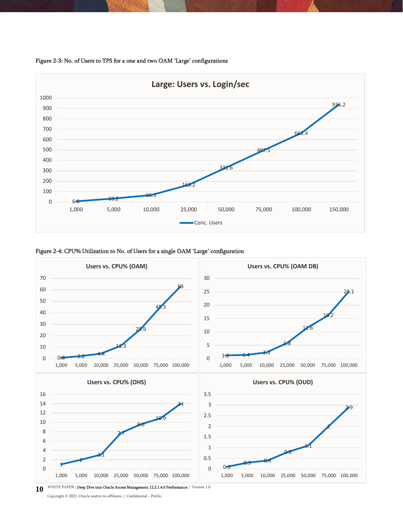







10 WHITE PAPER [| Deep Dive into Oracle Access Management 12.2.1.4.0 Performance](#page-0-0) | [Version 1.0](#page-0-1)

Copyright © [2021, Oracle and/or its affiliates](#page-0-2) | [Confidential](#page-0-3) – Public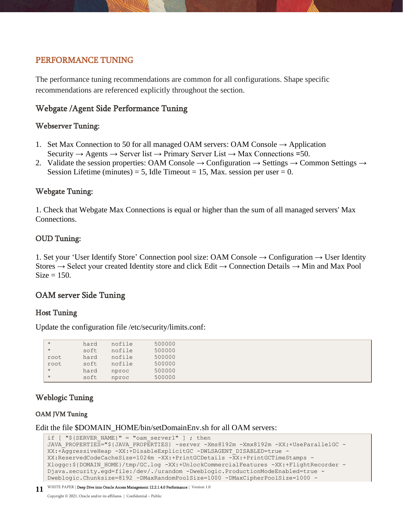## <span id="page-10-0"></span>PERFORMANCE TUNING

The performance tuning recommendations are common for all configurations. Shape specific recommendations are referenced explicitly throughout the section.

## <span id="page-10-1"></span>Webgate /Agent Side Performance Tuning

## <span id="page-10-2"></span>Webserver Tuning:

- 1. Set Max Connection to 50 for all managed OAM servers: OAM Console  $\rightarrow$  Application Security → Agents → Server list → Primary Server List → Max Connections **=**50.
- 2. Validate the session properties: OAM Console  $\rightarrow$  Configuration  $\rightarrow$  Settings  $\rightarrow$  Common Settings  $\rightarrow$ Session Lifetime (minutes) = 5, Idle Timeout = 15, Max. session per user = 0.

## <span id="page-10-3"></span>Webgate Tuning:

1. Check that Webgate Max Connections is equal or higher than the sum of all managed servers' Max Connections.

## <span id="page-10-4"></span>OUD Tuning:

1. Set your 'User Identify Store' Connection pool size: OAM Console → Configuration → User Identity Stores  $\rightarrow$  Select your created Identity store and click Edit  $\rightarrow$  Connection Details  $\rightarrow$  Min and Max Pool  $Size = 150$ .

## <span id="page-10-5"></span>OAM server Side Tuning

## <span id="page-10-6"></span>Host Tuning

Update the configuration file /etc/security/limits.conf:

| $\star$ | hard | nofile | 500000 |
|---------|------|--------|--------|
| $\star$ | soft | nofile | 500000 |
| root    | hard | nofile | 500000 |
| root    | soft | nofile | 500000 |
| $\star$ | hard | nproc  | 500000 |
| $\star$ | soft | nproc  | 500000 |

## <span id="page-10-7"></span>Weblogic Tuning

## OAM JVM Tuning

Edit the file \$DOMAIN\_HOME/bin/setDomainEnv.sh for all OAM servers:

```
if [ "${SERVER NAME}" = "oam server1" ] ; then
JAVA PROPERTIES="${JAVA_PROPERTIES} -server -Xms8192m -Xmx8192m -XX:+UseParallelGC -
XX:+AggressiveHeap -XX:+DisableExplicitGC -DWLSAGENT_DISABLED=true -
XX:ReservedCodeCacheSize=1024m -XX:+PrintGCDetails -XX:+PrintGCTimeStamps -
Xloggc:${DOMAIN_HOME}/tmp/GC.log -XX:+UnlockCommercialFeatures -XX:+FlightRecorder -
Djava.security.egd=file:/dev/./urandom -Dweblogic.ProductionModeEnabled=true -
Dweblogic.Chunksize=8192 -DMaxRandomPoolSize=1000 -DMaxCipherPoolSize=1000 -
```

```
11| Deep Dive into Oracle Access Management 12.2.1.4.0 Performance Version 1.0
```
Copyright © [2021, Oracle and/or its affiliates](#page-0-2) | [Confidential](#page-0-3) – Public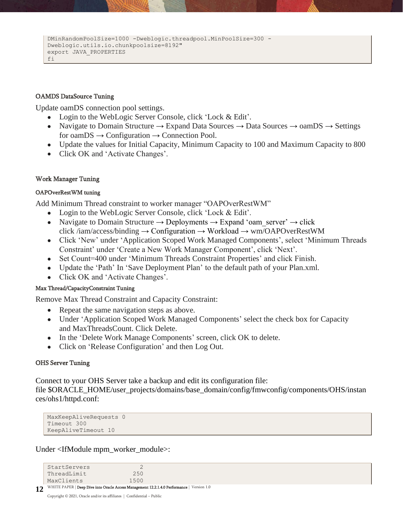```
DMinRandomPoolSize=1000 -Dweblogic.threadpool.MinPoolSize=300 -
Dweblogic.utils.io.chunkpoolsize=8192"
export JAVA_PROPERTIES
fi
```
### OAMDS DataSource Tuning

Update oamDS connection pool settings.

- Login to the WebLogic Server Console, click 'Lock & Edit'.
- Navigate to Domain Structure  $\rightarrow$  Expand Data Sources  $\rightarrow$  Data Sources  $\rightarrow$  oamDS  $\rightarrow$  Settings for oam $DS \rightarrow$  Configuration  $\rightarrow$  Connection Pool.
- Update the values for Initial Capacity, Minimum Capacity to 100 and Maximum Capacity to 800
- Click OK and 'Activate Changes'.

## Work Manager Tuning

## OAPOverRestWM tuning

Add Minimum Thread constraint to worker manager "OAPOverRestWM"

- Login to the WebLogic Server Console, click 'Lock & Edit'.
- Navigate to Domain Structure  $\rightarrow$  Deployments  $\rightarrow$  Expand 'oam\_server'  $\rightarrow$  click click /iam/access/binding  $\rightarrow$  Configuration  $\rightarrow$  Workload  $\rightarrow$  wm/OAPOverRestWM
- Click 'New' under 'Application Scoped Work Managed Components', select 'Minimum Threads Constraint' under 'Create a New Work Manager Component', click 'Next'.
- Set Count=400 under 'Minimum Threads Constraint Properties' and click Finish.
- Update the 'Path' In 'Save Deployment Plan' to the default path of your Plan.xml.
- Click OK and 'Activate Changes'.

## Max Thread/CapacityConstraint Tuning

Remove Max Thread Constraint and Capacity Constraint:

- Repeat the same navigation steps as above.
- Under 'Application Scoped Work Managed Components' select the check box for Capacity and MaxThreadsCount. Click Delete.
- In the 'Delete Work Manage Components' screen, click OK to delete.
- Click on 'Release Configuration' and then Log Out.

## OHS Server Tuning

Connect to your OHS Server take a backup and edit its configuration file:

file \$ORACLE\_HOME/user\_projects/domains/base\_domain/config/fmwconfig/components/OHS/instan ces/ohs1/httpd.conf:

```
MaxKeepAliveRequests 0
Timeout 300
KeepAliveTimeout 10
```
Under <IfModule mpm\_worker\_module>:

```
12| Deep Dive into Oracle Access Management 12.2.1.4.0 Performance Version 1.0
   StartServers 2
   ThreadLimit 250
   MaxClients 1500
```
Copyright © [2021, Oracle and/or its affiliates](#page-0-2) | [Confidential](#page-0-3) – Public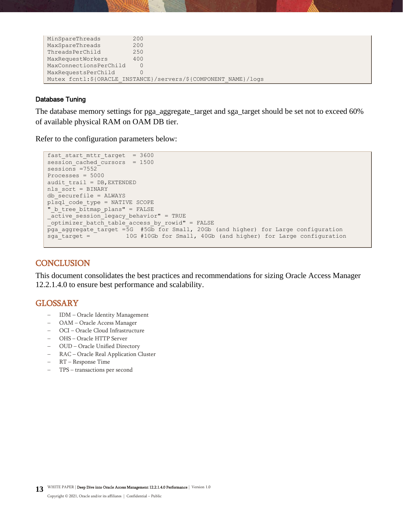| MinSpareThreads        | 200                                                              |
|------------------------|------------------------------------------------------------------|
| MaxSpareThreads        | 200                                                              |
| ThreadsPerChild        | 250                                                              |
| MaxRequestWorkers      | 400                                                              |
| MaxConnectionsPerChild | $\Omega$                                                         |
| MaxRequestsPerChild    |                                                                  |
|                        | Mutex fcntl: \${ORACLE INSTANCE}/servers/\${COMPONENT NAME}/logs |

#### Database Tuning

The database memory settings for pga\_aggregate\_target and sga\_target should be set not to exceed 60% of available physical RAM on OAM DB tier.

Refer to the configuration parameters below:

```
fast start mttr target = 3600session cached cursors = 1500
sensions = 7552Processes = 5000
audit train = DB, EXTENDEDnls_sort = BINARY
db_securefile = ALWAYS
plsql_code_type = NATIVE SCOPE
"_b_tree_bitmap_plans" = FALSE
_active_session_legacy_behavior" = TRUE
optimizer_batch_table_access_by_rowid" = FALSE
pga_aggregate_target =5G #5Gb for Small, 20Gb (and higher) for Large configuration
sga_target = 10G #10Gb for Small, 40Gb (and higher) for Large configuration
```
## <span id="page-12-0"></span>**CONCLUSION**

This document consolidates the best practices and recommendations for sizing Oracle Access Manager 12.2.1.4.0 to ensure best performance and scalability.

## <span id="page-12-1"></span>GLOSSARY

- − IDM Oracle Identity Management
- − OAM Oracle Access Manager
- − OCI Oracle Cloud Infrastructure
- − OHS Oracle HTTP Server
- − OUD Oracle Unified Directory
- − RAC Oracle Real Application Cluster
- − RT Response Time
- − TPS transactions per second